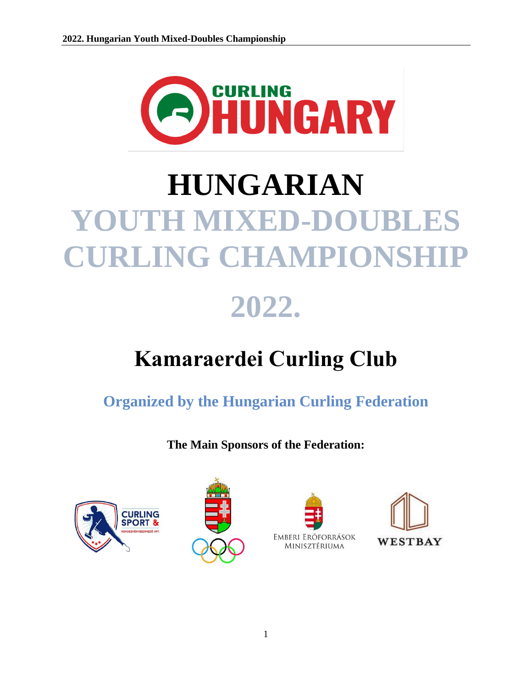

# **HUNGARIAN YOUTH MIXED-DOUBLES CURLING CHAMPIONSHIP**

## **2022.**

### **Kamaraerdei Curling Club**

**Organized by the Hungarian Curling Federation**

**The Main Sponsors of the Federation:**







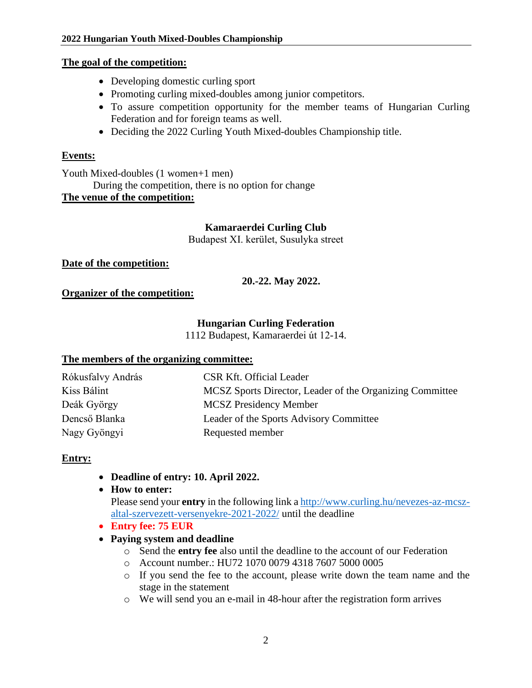#### **The goal of the competition:**

- Developing domestic curling sport
- Promoting curling mixed-doubles among junior competitors.
- To assure competition opportunity for the member teams of Hungarian Curling Federation and for foreign teams as well.
- Deciding the 2022 Curling Youth Mixed-doubles Championship title.

#### **Events:**

Youth Mixed-doubles (1 women+1 men) During the competition, there is no option for change **The venue of the competition:**

#### **Kamaraerdei Curling Club**

Budapest XI. kerület, Susulyka street

#### **Date of the competition:**

**20.-22. May 2022.**

#### **Organizer of the competition:**

#### **Hungarian Curling Federation**

1112 Budapest, Kamaraerdei út 12-14.

#### **The members of the organizing committee:**

| Rókusfalvy András | <b>CSR Kft. Official Leader</b>                          |
|-------------------|----------------------------------------------------------|
| Kiss Bálint       | MCSZ Sports Director, Leader of the Organizing Committee |
| Deák György       | <b>MCSZ</b> Presidency Member                            |
| Dencső Blanka     | Leader of the Sports Advisory Committee                  |
| Nagy Gyöngyi      | Requested member                                         |

#### **Entry:**

- **Deadline of entry: 10. April 2022.**
- **How to enter:**

Please send your **entry** in the following link [a http://www.curling.hu/nevezes-az-mcsz](http://www.curling.hu/nevezes-az-mcsz-altal-szervezett-versenyekre-2021-2022/)[altal-szervezett-versenyekre-2021-2022/](http://www.curling.hu/nevezes-az-mcsz-altal-szervezett-versenyekre-2021-2022/) until the deadline

- **Entry fee: 75 EUR**
- **Paying system and deadline**
	- o Send the **entry fee** also until the deadline to the account of our Federation
	- o Account number.: HU72 1070 0079 4318 7607 5000 0005
	- o If you send the fee to the account, please write down the team name and the stage in the statement
	- o We will send you an e-mail in 48-hour after the registration form arrives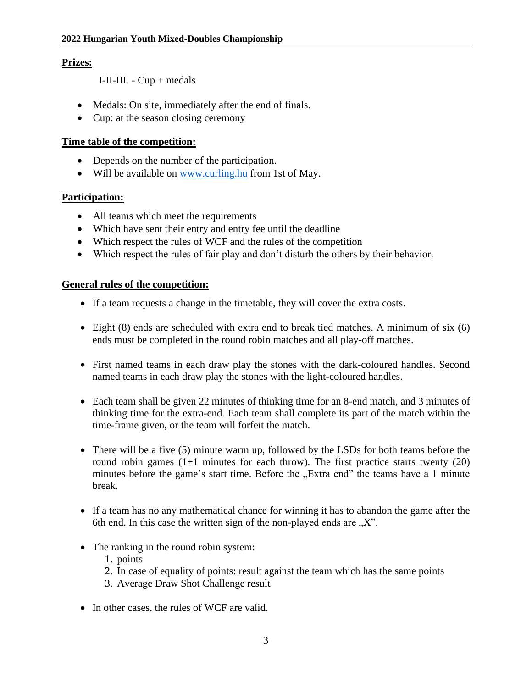#### **Prizes:**

I-II-III. - Cup + medals

- Medals: On site, immediately after the end of finals.
- Cup: at the season closing ceremony

#### **Time table of the competition:**

- Depends on the number of the participation.
- Will be available on [www.curling.hu](http://www.curling.hu/) from 1st of May.

#### **Participation:**

- All teams which meet the requirements
- Which have sent their entry and entry fee until the deadline
- Which respect the rules of WCF and the rules of the competition
- Which respect the rules of fair play and don't disturb the others by their behavior.

#### **General rules of the competition:**

- If a team requests a change in the timetable, they will cover the extra costs.
- Eight (8) ends are scheduled with extra end to break tied matches. A minimum of six (6) ends must be completed in the round robin matches and all play-off matches.
- First named teams in each draw play the stones with the dark-coloured handles. Second named teams in each draw play the stones with the light-coloured handles.
- Each team shall be given 22 minutes of thinking time for an 8-end match, and 3 minutes of thinking time for the extra-end. Each team shall complete its part of the match within the time-frame given, or the team will forfeit the match.
- There will be a five (5) minute warm up, followed by the LSDs for both teams before the round robin games  $(1+1)$  minutes for each throw). The first practice starts twenty  $(20)$ minutes before the game's start time. Before the "Extra end" the teams have a 1 minute break.
- If a team has no any mathematical chance for winning it has to abandon the game after the 6th end. In this case the written sign of the non-played ends are  $, X$ .
- The ranking in the round robin system:
	- 1. points
	- 2. In case of equality of points: result against the team which has the same points
	- 3. Average Draw Shot Challenge result
- In other cases, the rules of WCF are valid.